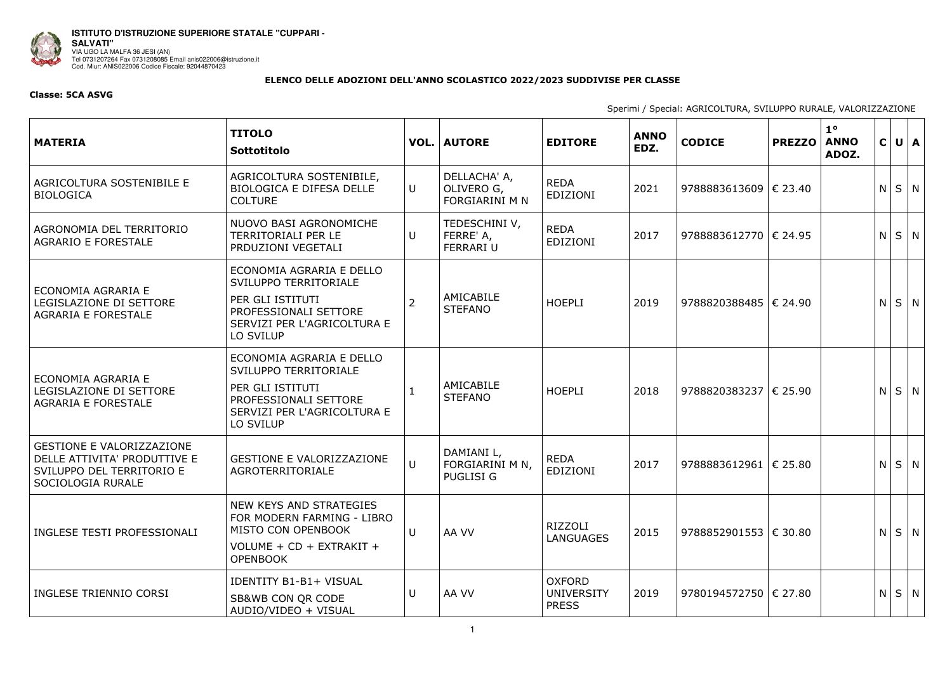

**ISTITUTO D'ISTRUZIONE SUPERIORE STATALE "CUPPARI - SALVATI"**  VIA UGO LA MALFA 36 JESI (AN) Tel 0731207264 Fax 0731208085 Email anis022006@istruzione.it Cod. Miur: ANIS022006 Codice Fiscale: 92044870423

## **ELENCO DELLE ADOZIONI DELL'ANNO SCOLASTICO 2022/2023 SUDDIVISE PER CLASSE**

## **Classe: 5CA ASVG**

Sperimi / Special: AGRICOLTURA, SVILUPPO RURALE, VALORIZZAZIONE

| <b>MATERIA</b>                                                                                                     | <b>TITOLO</b><br>Sottotitolo                                                                                                               |                | <b>VOL.   AUTORE</b>                                | <b>EDITORE</b>                                     | <b>ANNO</b><br>EDZ. | <b>CODICE</b>             | <b>PREZZO</b> | $1^{\circ}$<br><b>ANNO</b><br>ADOZ. | $\mathsf{C}$ | $U \mid A$  |
|--------------------------------------------------------------------------------------------------------------------|--------------------------------------------------------------------------------------------------------------------------------------------|----------------|-----------------------------------------------------|----------------------------------------------------|---------------------|---------------------------|---------------|-------------------------------------|--------------|-------------|
| AGRICOLTURA SOSTENIBILE E<br><b>BIOLOGICA</b>                                                                      | AGRICOLTURA SOSTENIBILE,<br><b>BIOLOGICA E DIFESA DELLE</b><br><b>COLTURE</b>                                                              | U              | DELLACHA' A,<br>OLIVERO G,<br><b>FORGIARINI M N</b> | <b>REDA</b><br>EDIZIONI                            | 2021                | 9788883613609   € 23.40   |               |                                     | N            | $S \mid N$  |
| AGRONOMIA DEL TERRITORIO<br><b>AGRARIO E FORESTALE</b>                                                             | NUOVO BASI AGRONOMICHE<br><b>TERRITORIALI PER LE</b><br>PRDUZIONI VEGETALI                                                                 | U              | TEDESCHINI V,<br>FERRE' A,<br><b>FERRARI U</b>      | <b>REDA</b><br><b>EDIZIONI</b>                     | 2017                | 9788883612770   € 24.95   |               |                                     | N.           | $S \mid N$  |
| ECONOMIA AGRARIA E<br>LEGISLAZIONE DI SETTORE<br><b>AGRARIA E FORESTALE</b>                                        | ECONOMIA AGRARIA E DELLO<br>SVILUPPO TERRITORIALE<br>PER GLI ISTITUTI<br>PROFESSIONALI SETTORE<br>SERVIZI PER L'AGRICOLTURA E<br>LO SVILUP | $\overline{2}$ | AMICABILE<br><b>STEFANO</b>                         | <b>HOEPLI</b>                                      | 2019                | 9788820388485   € 24.90   |               |                                     | N            | $S \mid N$  |
| ECONOMIA AGRARIA E<br>LEGISLAZIONE DI SETTORE<br><b>AGRARIA E FORESTALE</b>                                        | ECONOMIA AGRARIA E DELLO<br>SVILUPPO TERRITORIALE<br>PER GLI ISTITUTI<br>PROFESSIONALI SETTORE<br>SERVIZI PER L'AGRICOLTURA E<br>LO SVILUP |                | AMICABILE<br><b>STEFANO</b>                         | <b>HOEPLI</b>                                      | 2018                | 9788820383237   € 25.90   |               |                                     | N            | $S \mid N$  |
| <b>GESTIONE E VALORIZZAZIONE</b><br>DELLE ATTIVITA' PRODUTTIVE E<br>SVILUPPO DEL TERRITORIO E<br>SOCIOLOGIA RURALE | <b>GESTIONE E VALORIZZAZIONE</b><br>AGROTERRITORIALE                                                                                       | $\cup$         | DAMIANI L,<br>FORGIARINI M N,<br>PUGLISI G          | <b>REDA</b><br>EDIZIONI                            | 2017                | 9788883612961   € 25.80   |               |                                     | N            | $S \mid N$  |
| INGLESE TESTI PROFESSIONALI                                                                                        | NEW KEYS AND STRATEGIES<br>FOR MODERN FARMING - LIBRO<br>MISTO CON OPENBOOK<br>VOLUME + CD + EXTRAKIT +<br><b>OPENBOOK</b>                 | U              | AA VV                                               | RIZZOLI<br><b>LANGUAGES</b>                        | 2015                | 9788852901553 $\in$ 30.80 |               |                                     | N            | $S \mid N$  |
| INGLESE TRIENNIO CORSI                                                                                             | <b>IDENTITY B1-B1+ VISUAL</b><br>SB&WB CON QR CODE<br>AUDIO/VIDEO + VISUAL                                                                 | U              | AA VV                                               | <b>OXFORD</b><br><b>UNIVERSITY</b><br><b>PRESS</b> | 2019                | 9780194572750   € 27.80   |               |                                     |              | $N$ $S$ $N$ |